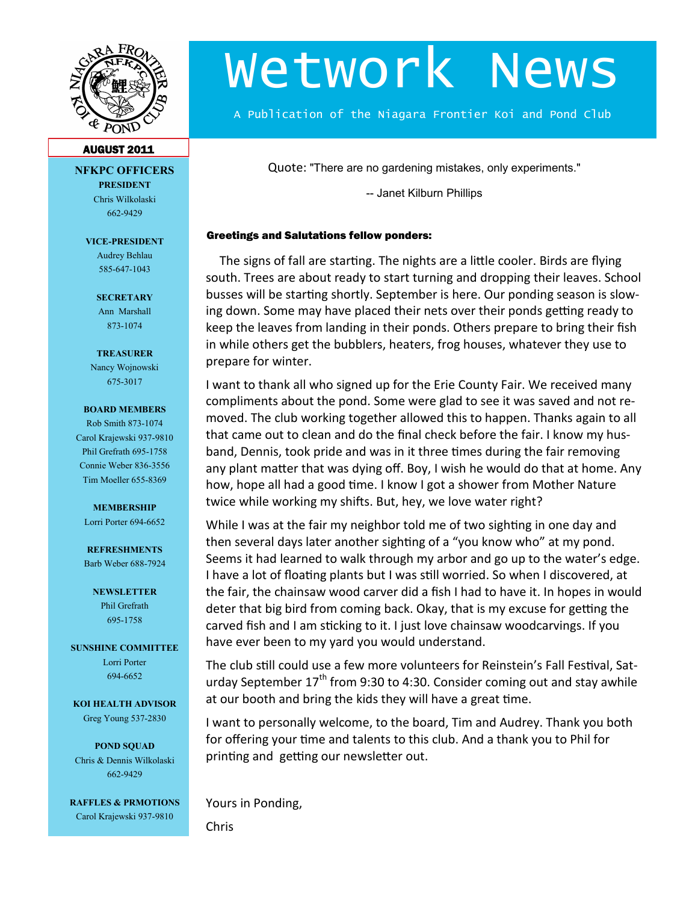

# Wetwork News

A Publication of the Niagara Frontier Koi and Pond Club

#### AUGUST 2011

**NFKPC OFFICERS PRESIDENT** Chris Wilkolaski 662-9429

**VICE-PRESIDENT** Audrey Behlau

585-647-1043

**SECRETARY** Ann Marshall 873-1074

**TREASURER**

Nancy Wojnowski 675-3017

#### **BOARD MEMBERS**

Rob Smith 873-1074 Carol Krajewski 937-9810 Phil Grefrath 695-1758 Connie Weber 836-3556 Tim Moeller 655-8369

#### **MEMBERSHIP**

Lorri Porter 694-6652

**REFRESHMENTS** Barb Weber 688-7924

> **NEWSLETTER** Phil Grefrath 695-1758

**SUNSHINE COMMITTEE** Lorri Porter 694-6652

**KOI HEALTH ADVISOR** Greg Young 537-2830

**POND SQUAD** Chris & Dennis Wilkolaski 662-9429

**RAFFLES & PRMOTIONS** Carol Krajewski 937-9810

Quote: "There are no gardening mistakes, only experiments."

-- Janet Kilburn Phillips

#### Greetings and Salutations fellow ponders:

The signs of fall are starting. The nights are a little cooler. Birds are flying south. Trees are about ready to start turning and dropping their leaves. School busses will be starting shortly. September is here. Our ponding season is slowing down. Some may have placed their nets over their ponds getting ready to keep the leaves from landing in their ponds. Others prepare to bring their fish in while others get the bubblers, heaters, frog houses, whatever they use to prepare for winter.

I want to thank all who signed up for the Erie County Fair. We received many compliments about the pond. Some were glad to see it was saved and not removed. The club working together allowed this to happen. Thanks again to all that came out to clean and do the final check before the fair. I know my husband, Dennis, took pride and was in it three times during the fair removing any plant matter that was dying off. Boy, I wish he would do that at home. Any how, hope all had a good time. I know I got a shower from Mother Nature twice while working my shifts. But, hey, we love water right?

While I was at the fair my neighbor told me of two sighting in one day and then several days later another sighting of a "you know who" at my pond. Seems it had learned to walk through my arbor and go up to the water's edge. I have a lot of floating plants but I was still worried. So when I discovered, at the fair, the chainsaw wood carver did a fish I had to have it. In hopes in would deter that big bird from coming back. Okay, that is my excuse for getting the carved fish and I am sticking to it. I just love chainsaw woodcarvings. If you have ever been to my yard you would understand.

The club still could use a few more volunteers for Reinstein's Fall Festival, Saturday September  $17<sup>th</sup>$  from 9:30 to 4:30. Consider coming out and stay awhile at our booth and bring the kids they will have a great time.

I want to personally welcome, to the board, Tim and Audrey. Thank you both for offering your time and talents to this club. And a thank you to Phil for printing and getting our newsletter out.

Yours in Ponding,

Chris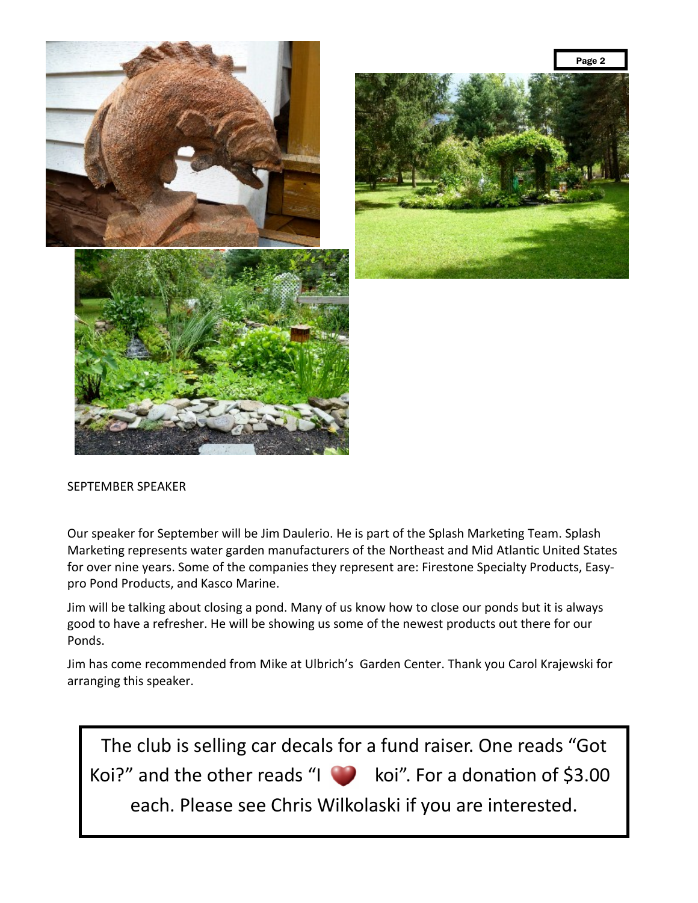

#### SEPTEMBER SPEAKER

Our speaker for September will be Jim Daulerio. He is part of the Splash Marketing Team. Splash Marketing represents water garden manufacturers of the Northeast and Mid Atlantic United States for over nine years. Some of the companies they represent are: Firestone Specialty Products, Easypro Pond Products, and Kasco Marine.

Jim will be talking about closing a pond. Many of us know how to close our ponds but it is always good to have a refresher. He will be showing us some of the newest products out there for our Ponds.

Jim has come recommended from Mike at Ulbrich's Garden Center. Thank you Carol Krajewski for arranging this speaker.

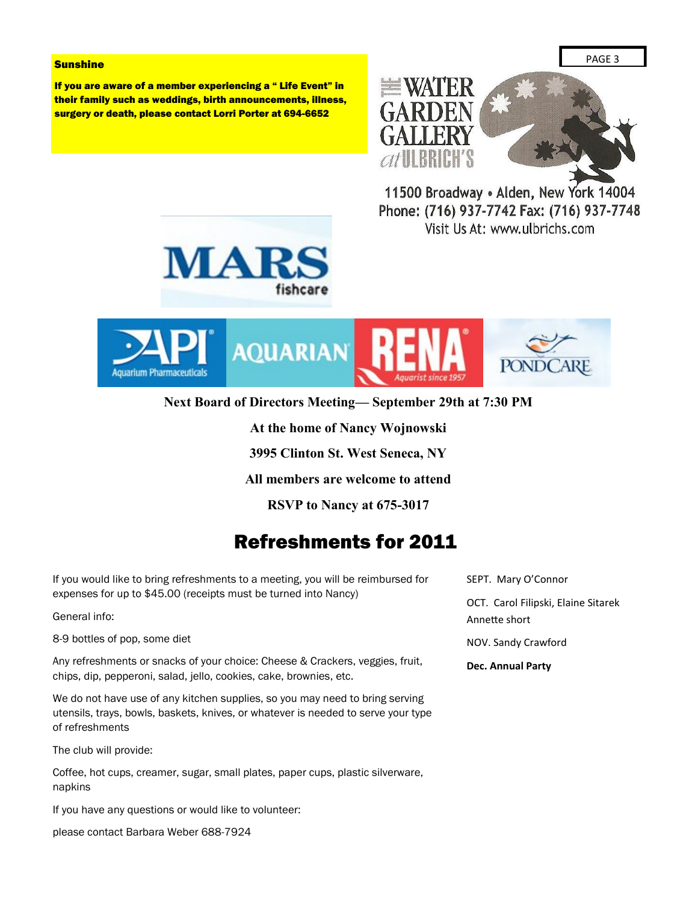#### **Sunshine**

If you are aware of a member experiencing a " Life Event" in their family such as weddings, birth announcements, illness, surgery or death, please contact Lorri Porter at 694-6652



11500 Broadway . Alden, New York 14004 Phone: (716) 937-7742 Fax: (716) 937-7748 Visit Us At: www.ulbrichs.com





**Next Board of Directors Meeting— September 29th at 7:30 PM**

**At the home of Nancy Wojnowski**

**3995 Clinton St. West Seneca, NY**

**All members are welcome to attend**

**RSVP to Nancy at 675-3017**

### Refreshments for 2011

If you would like to bring refreshments to a meeting, you will be reimbursed for expenses for up to \$45.00 (receipts must be turned into Nancy)

General info:

8-9 bottles of pop, some diet

Any refreshments or snacks of your choice: Cheese & Crackers, veggies, fruit, chips, dip, pepperoni, salad, jello, cookies, cake, brownies, etc.

We do not have use of any kitchen supplies, so you may need to bring serving utensils, trays, bowls, baskets, knives, or whatever is needed to serve your type of refreshments

The club will provide:

Coffee, hot cups, creamer, sugar, small plates, paper cups, plastic silverware, napkins

If you have any questions or would like to volunteer:

please contact Barbara Weber 688-7924

SEPT. Mary O'Connor

OCT. Carol Filipski, Elaine Sitarek Annette short

NOV. Sandy Crawford

**Dec. Annual Party**

PAGE 3